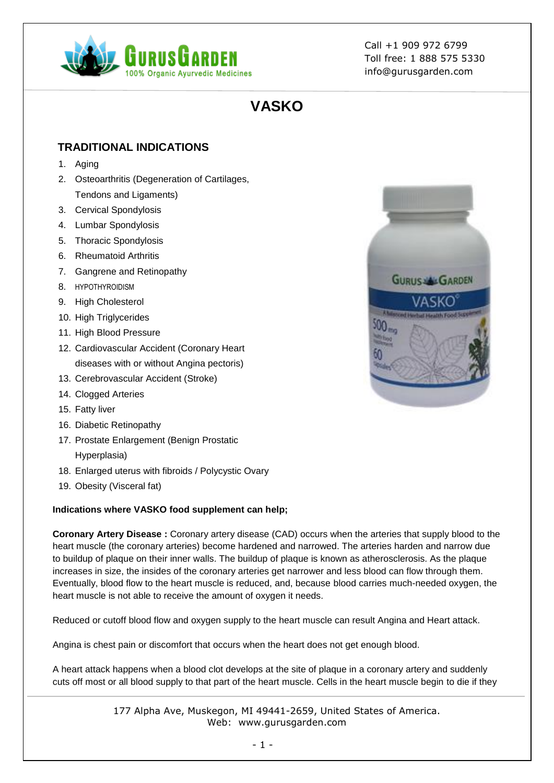

# **VASKO**

# **TRADITIONAL INDICATIONS**

- 1. Aging
- 2. Osteoarthritis (Degeneration of Cartilages, Tendons and Ligaments)
- 3. Cervical Spondylosis
- 4. Lumbar Spondylosis
- 5. Thoracic Spondylosis
- 6. Rheumatoid Arthritis
- 7. Gangrene and Retinopathy
- 8. [HYPOTHYROIDISM](https://gurusgarden.com/art.aspx?id=hypothyroidism)
- 9. High Cholesterol
- 10. High Triglycerides
- 11. High Blood Pressure
- 12. Cardiovascular Accident (Coronary Heart diseases with or without Angina pectoris)
- 13. Cerebrovascular Accident (Stroke)
- 14. Clogged Arteries
- 15. Fatty liver
- 16. Diabetic Retinopathy
- 17. Prostate Enlargement (Benign Prostatic Hyperplasia)
- 18. Enlarged uterus with fibroids / Polycystic Ovary
- 19. Obesity (Visceral fat)

# **Indications where VASKO food supplement can help;**

**Coronary Artery Disease :** Coronary artery disease (CAD) occurs when the arteries that supply blood to the heart muscle (the coronary arteries) become hardened and narrowed. The arteries harden and narrow due to buildup of plaque on their inner walls. The buildup of plaque is known as atherosclerosis. As the plaque increases in size, the insides of the coronary arteries get narrower and less blood can flow through them. Eventually, blood flow to the heart muscle is reduced, and, because blood carries much-needed oxygen, the heart muscle is not able to receive the amount of oxygen it needs.

Reduced or cutoff blood flow and oxygen supply to the heart muscle can result Angina and Heart attack.

Angina is chest pain or discomfort that occurs when the heart does not get enough blood.

A heart attack happens when a blood clot develops at the site of plaque in a coronary artery and suddenly cuts off most or all blood supply to that part of the heart muscle. Cells in the heart muscle begin to die if they

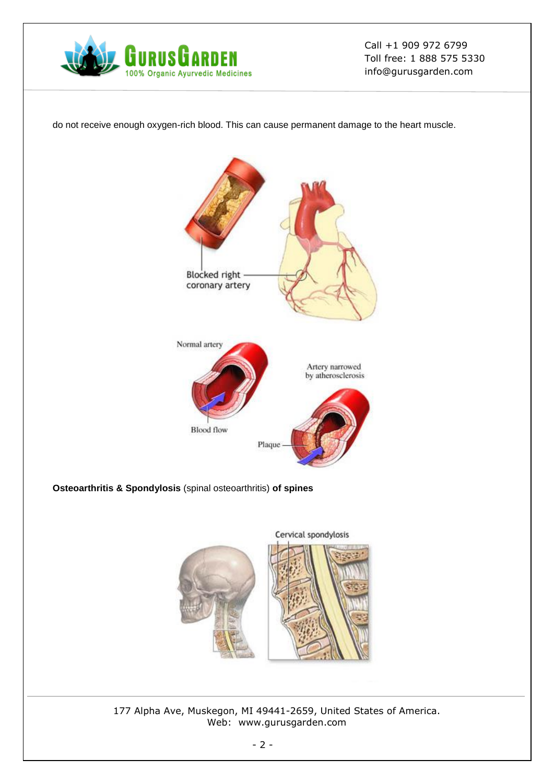

do not receive enough oxygen-rich blood. This can cause permanent damage to the heart muscle.



**Osteoarthritis & Spondylosis** (spinal osteoarthritis) **of spines**

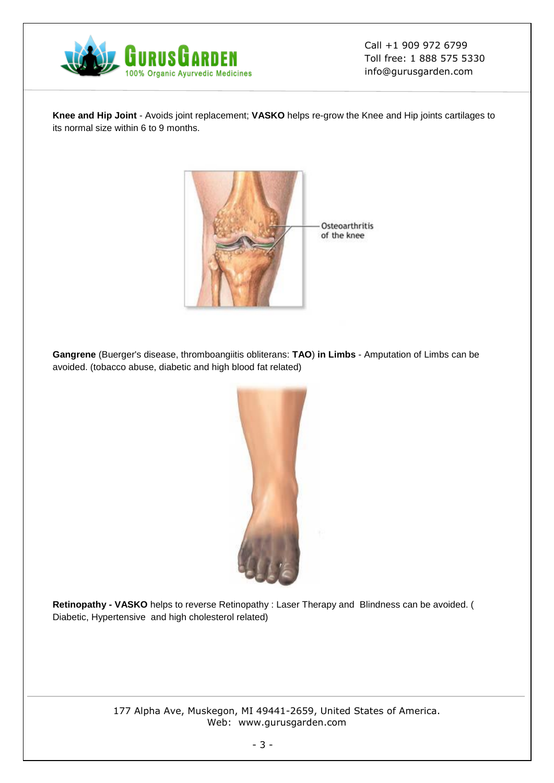

**Knee and Hip Joint** - Avoids joint replacement; **VASKO** helps re-grow the Knee and Hip joints cartilages to its normal size within 6 to 9 months.



**Gangrene** (Buerger's disease, thromboangiitis obliterans: **TAO**) **in Limbs** - Amputation of Limbs can be avoided. (tobacco abuse, diabetic and high blood fat related)



**Retinopathy - VASKO** helps to reverse Retinopathy : Laser Therapy and Blindness can be avoided. ( Diabetic, Hypertensive and high cholesterol related)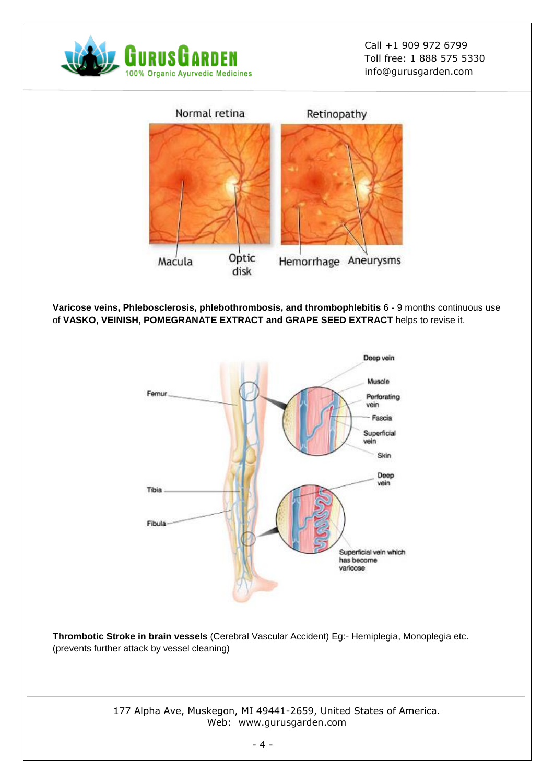



**Varicose veins, Phlebosclerosis, phlebothrombosis, and thrombophlebitis** 6 - 9 months continuous use of **VASKO, VEINISH, POMEGRANATE EXTRACT and GRAPE SEED EXTRACT** helps to revise it.



**Thrombotic Stroke in brain vessels** (Cerebral Vascular Accident) Eg:- Hemiplegia, Monoplegia etc. (prevents further attack by vessel cleaning)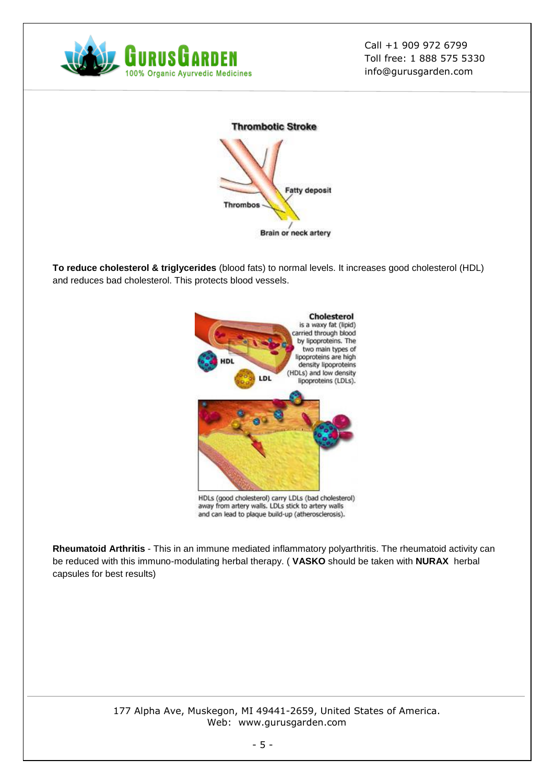



**To reduce cholesterol & triglycerides** (blood fats) to normal levels. It increases good cholesterol (HDL) and reduces bad cholesterol. This protects blood vessels.



**Rheumatoid Arthritis** - This in an immune mediated inflammatory polyarthritis. The rheumatoid activity can be reduced with this immuno-modulating herbal therapy. ( **VASKO** should be taken with **NURAX** herbal capsules for best results)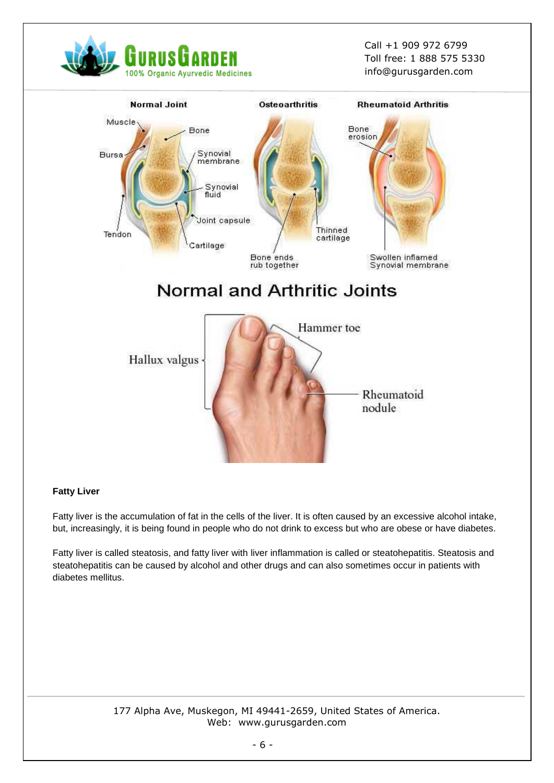



#### **Fatty Liver**

Fatty liver is the accumulation of fat in the cells of the liver. It is often caused by an excessive alcohol intake, but, increasingly, it is being found in people who do not drink to excess but who are obese or have diabetes.

Fatty liver is called steatosis, and fatty liver with liver inflammation is called or steatohepatitis. Steatosis and steatohepatitis can be caused by alcohol and other drugs and can also sometimes occur in patients with diabetes mellitus.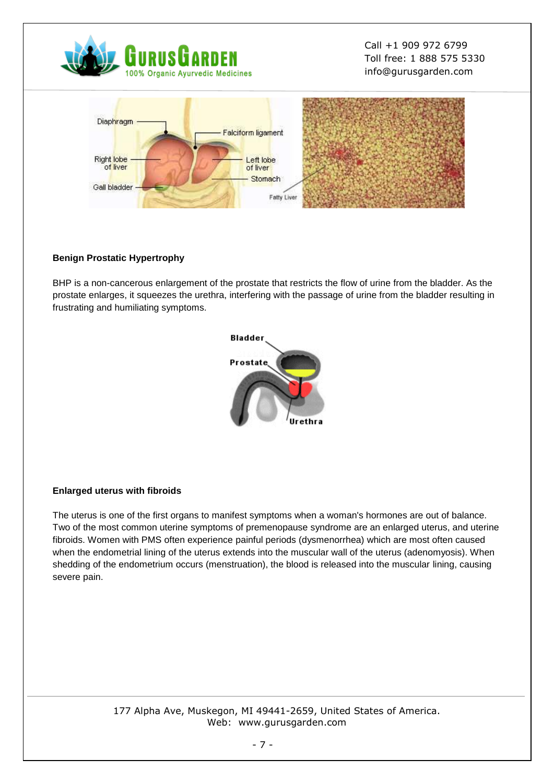



## **Benign Prostatic Hypertrophy**

BHP is a non-cancerous enlargement of the prostate that restricts the flow of urine from the bladder. As the prostate enlarges, it squeezes the urethra, interfering with the passage of urine from the bladder resulting in frustrating and humiliating symptoms.



#### **Enlarged uterus with fibroids**

The uterus is one of the first organs to manifest symptoms when a woman's hormones are out of balance. Two of the most common uterine symptoms of premenopause syndrome are an enlarged uterus, and uterine fibroids. Women with PMS often experience painful periods (dysmenorrhea) which are most often caused when the endometrial lining of the uterus extends into the muscular wall of the uterus (adenomyosis). When shedding of the endometrium occurs (menstruation), the blood is released into the muscular lining, causing severe pain.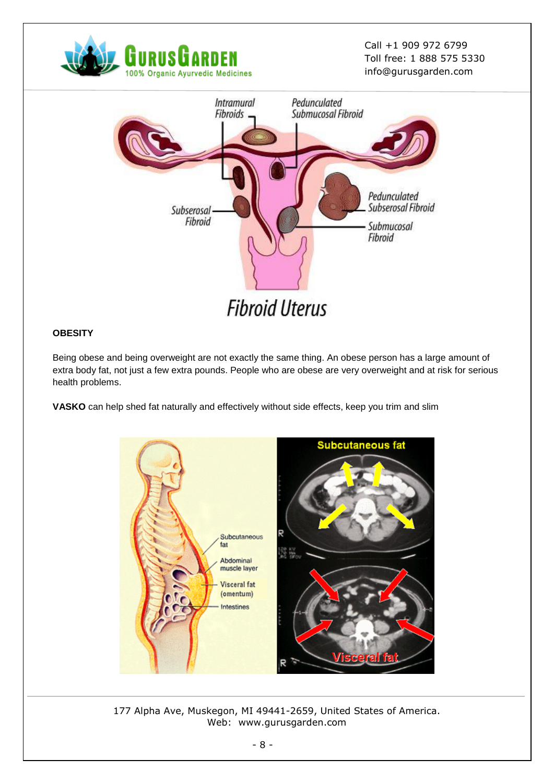



# **OBESITY**

Being obese and being overweight are not exactly the same thing. An obese person has a large amount of extra body fat, not just a few extra pounds. People who are obese are very overweight and at risk for serious health problems.

**VASKO** can help shed fat naturally and effectively without side effects, keep you trim and slim

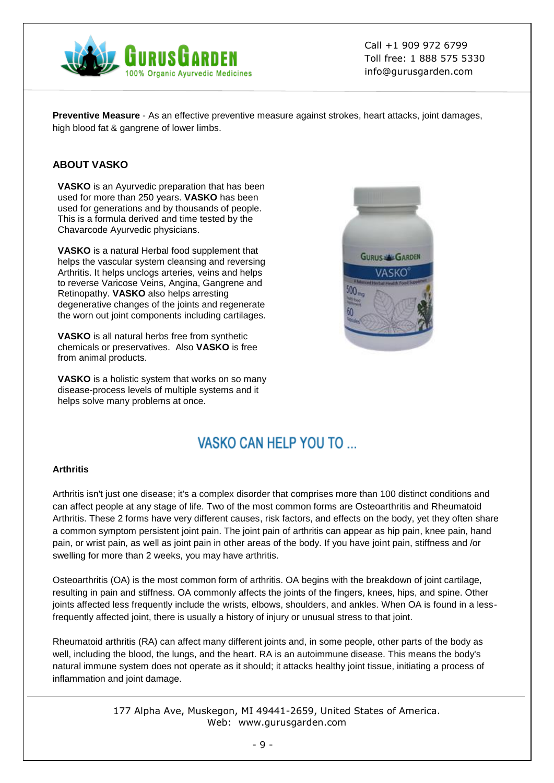

**Preventive Measure** - As an effective preventive measure against strokes, heart attacks, joint damages, high blood fat & gangrene of lower limbs.

# **ABOUT VASKO**

**VASKO** is an Ayurvedic preparation that has been used for more than 250 years. **VASKO** has been used for generations and by thousands of people. This is a formula derived and time tested by the Chavarcode Ayurvedic physicians.

**VASKO** is a natural Herbal food supplement that helps the vascular system cleansing and reversing Arthritis. It helps unclogs arteries, veins and helps to reverse Varicose Veins, Angina, Gangrene and Retinopathy. **VASKO** also helps arresting degenerative changes of the joints and regenerate the worn out joint components including cartilages.

**VASKO** is all natural herbs free from synthetic chemicals or preservatives. Also **VASKO** is free from animal products.

**VASKO** is a holistic system that works on so many disease-process levels of multiple systems and it helps solve many problems at once.



# VASKO CAN HELP YOU TO

#### **Arthritis**

Arthritis isn't just one disease; it's a complex disorder that comprises more than 100 distinct conditions and can affect people at any stage of life. Two of the most common forms are Osteoarthritis and Rheumatoid Arthritis. These 2 forms have very different causes, risk factors, and effects on the body, yet they often share a common symptom persistent joint pain. The joint pain of arthritis can appear as hip pain, knee pain, hand pain, or wrist pain, as well as joint pain in other areas of the body. If you have joint pain, stiffness and /or swelling for more than 2 weeks, you may have arthritis.

Osteoarthritis (OA) is the most common form of arthritis. OA begins with the breakdown of joint cartilage, resulting in pain and stiffness. OA commonly affects the joints of the fingers, knees, hips, and spine. Other joints affected less frequently include the wrists, elbows, shoulders, and ankles. When OA is found in a lessfrequently affected joint, there is usually a history of injury or unusual stress to that joint.

Rheumatoid arthritis (RA) can affect many different joints and, in some people, other parts of the body as well, including the blood, the lungs, and the heart. RA is an autoimmune disease. This means the body's natural immune system does not operate as it should; it attacks healthy joint tissue, initiating a process of inflammation and joint damage.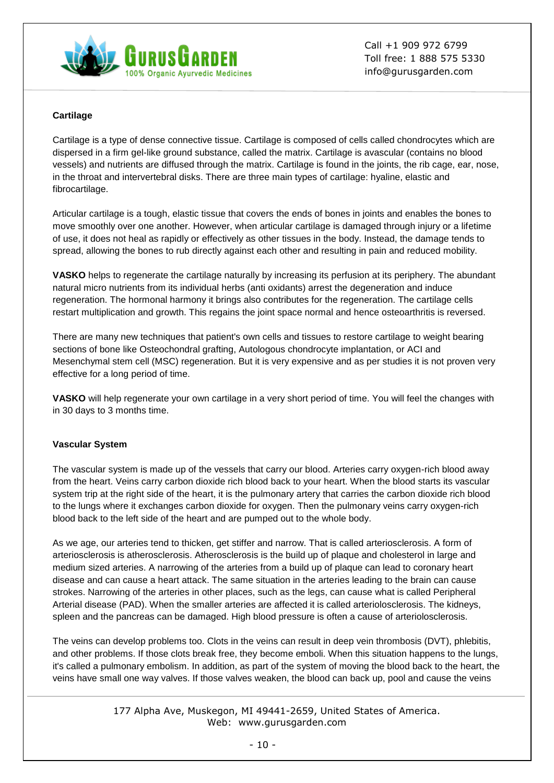

## **Cartilage**

Cartilage is a type of dense connective tissue. Cartilage is composed of cells called chondrocytes which are dispersed in a firm gel-like ground substance, called the matrix. Cartilage is avascular (contains no blood vessels) and nutrients are diffused through the matrix. Cartilage is found in the joints, the rib cage, ear, nose, in the throat and intervertebral disks. There are three main types of cartilage: hyaline, elastic and fibrocartilage.

Articular cartilage is a tough, elastic tissue that covers the ends of bones in joints and enables the bones to move smoothly over one another. However, when articular cartilage is damaged through injury or a lifetime of use, it does not heal as rapidly or effectively as other tissues in the body. Instead, the damage tends to spread, allowing the bones to rub directly against each other and resulting in pain and reduced mobility.

**VASKO** helps to regenerate the cartilage naturally by increasing its perfusion at its periphery. The abundant natural micro nutrients from its individual herbs (anti oxidants) arrest the degeneration and induce regeneration. The hormonal harmony it brings also contributes for the regeneration. The cartilage cells restart multiplication and growth. This regains the joint space normal and hence osteoarthritis is reversed.

There are many new techniques that patient's own cells and tissues to restore cartilage to weight bearing sections of bone like Osteochondral grafting, Autologous chondrocyte implantation, or ACI and Mesenchymal stem cell (MSC) regeneration. But it is very expensive and as per studies it is not proven very effective for a long period of time.

**VASKO** will help regenerate your own cartilage in a very short period of time. You will feel the changes with in 30 days to 3 months time.

#### **Vascular System**

The vascular system is made up of the vessels that carry our blood. Arteries carry oxygen-rich blood away from the heart. Veins carry carbon dioxide rich blood back to your heart. When the blood starts its vascular system trip at the right side of the heart, it is the pulmonary artery that carries the carbon dioxide rich blood to the lungs where it exchanges carbon dioxide for oxygen. Then the pulmonary veins carry oxygen-rich blood back to the left side of the heart and are pumped out to the whole body.

As we age, our arteries tend to thicken, get stiffer and narrow. That is called arteriosclerosis. A form of arteriosclerosis is atherosclerosis. Atherosclerosis is the build up of plaque and cholesterol in large and medium sized arteries. A narrowing of the arteries from a build up of plaque can lead to coronary heart disease and can cause a heart attack. The same situation in the arteries leading to the brain can cause strokes. Narrowing of the arteries in other places, such as the legs, can cause what is called Peripheral Arterial disease (PAD). When the smaller arteries are affected it is called arteriolosclerosis. The kidneys, spleen and the pancreas can be damaged. High blood pressure is often a cause of arteriolosclerosis.

The veins can develop problems too. Clots in the veins can result in deep vein thrombosis (DVT), phlebitis, and other problems. If those clots break free, they become emboli. When this situation happens to the lungs, it's called a pulmonary embolism. In addition, as part of the system of moving the blood back to the heart, the veins have small one way valves. If those valves weaken, the blood can back up, pool and cause the veins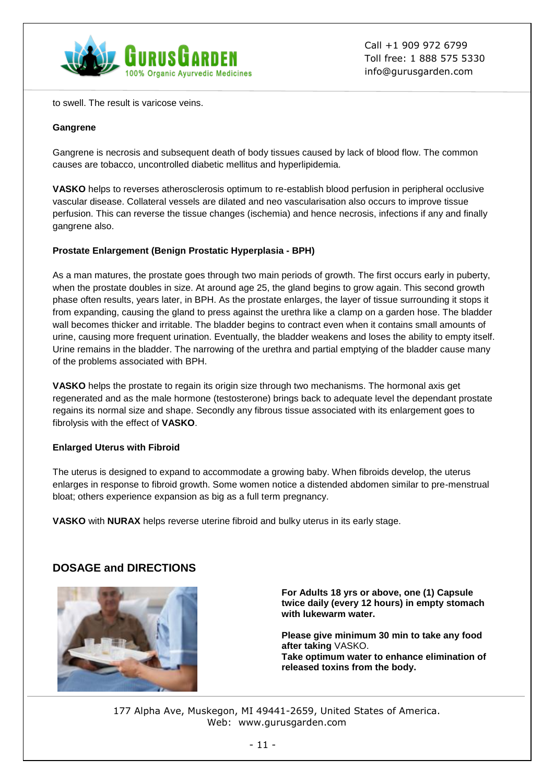

to swell. The result is varicose veins.

#### **Gangrene**

Gangrene is necrosis and subsequent death of body tissues caused by lack of blood flow. The common causes are tobacco, uncontrolled diabetic mellitus and hyperlipidemia.

**VASKO** helps to reverses atherosclerosis optimum to re-establish blood perfusion in peripheral occlusive vascular disease. Collateral vessels are dilated and neo vascularisation also occurs to improve tissue perfusion. This can reverse the tissue changes (ischemia) and hence necrosis, infections if any and finally gangrene also.

## **Prostate Enlargement (Benign Prostatic Hyperplasia - BPH)**

As a man matures, the prostate goes through two main periods of growth. The first occurs early in puberty, when the prostate doubles in size. At around age 25, the gland begins to grow again. This second growth phase often results, years later, in BPH. As the prostate enlarges, the layer of tissue surrounding it stops it from expanding, causing the gland to press against the urethra like a clamp on a garden hose. The bladder wall becomes thicker and irritable. The bladder begins to contract even when it contains small amounts of urine, causing more frequent urination. Eventually, the bladder weakens and loses the ability to empty itself. Urine remains in the bladder. The narrowing of the urethra and partial emptying of the bladder cause many of the problems associated with BPH.

**VASKO** helps the prostate to regain its origin size through two mechanisms. The hormonal axis get regenerated and as the male hormone (testosterone) brings back to adequate level the dependant prostate regains its normal size and shape. Secondly any fibrous tissue associated with its enlargement goes to fibrolysis with the effect of **VASKO**.

# **Enlarged Uterus with Fibroid**

The uterus is designed to expand to accommodate a growing baby. When fibroids develop, the uterus enlarges in response to fibroid growth. Some women notice a distended abdomen similar to pre-menstrual bloat; others experience expansion as big as a full term pregnancy.

**VASKO** with **NURAX** helps reverse uterine fibroid and bulky uterus in its early stage.

# **DOSAGE and DIRECTIONS**



**For Adults 18 yrs or above, one (1) Capsule twice daily (every 12 hours) in empty stomach with lukewarm water.**

**Please give minimum 30 min to take any food after taking** VASKO. **Take optimum water to enhance elimination of released toxins from the body.**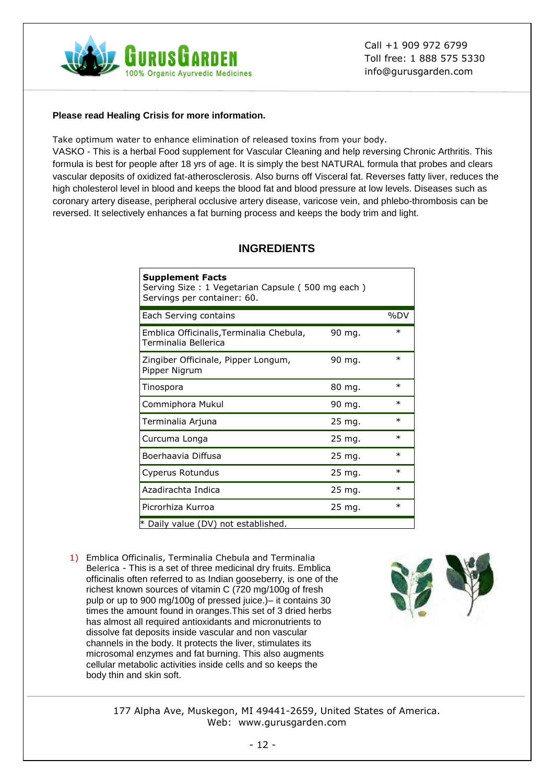

#### **Please read Healing Crisis for more information.**

Take optimum water to enhance elimination of released toxins from your body.

VASKO - This is a herbal Food supplement for Vascular Cleaning and help reversing Chronic Arthritis. This formula is best for people after 18 yrs of age. It is simply the best NATURAL formula that probes and clears vascular deposits of oxidized fat-atherosclerosis. Also burns off Visceral fat. Reverses fatty liver, reduces the high cholesterol level in blood and keeps the blood fat and blood pressure at low levels. Diseases such as coronary artery disease, peripheral occlusive artery disease, varicose vein, and phlebo-thrombosis can be reversed. It selectively enhances a fat burning process and keeps the body trim and light.

# **INGREDIENTS**

| <b>Supplement Facts</b><br>Serving Size: 1 Vegetarian Capsule (500 mg each)<br>Servings per container: 60. |                   |         |
|------------------------------------------------------------------------------------------------------------|-------------------|---------|
| Each Serving contains                                                                                      |                   | %DV     |
| Emblica Officinalis, Terminalia Chebula,<br>Terminalia Bellerica                                           | 90 mg.            | $\ast$  |
| Zingiber Officinale, Pipper Longum,<br>Pipper Nigrum                                                       | 90 mg.            | $\ast$  |
| Tinospora                                                                                                  | 80 mg.            | $\ast$  |
| Commiphora Mukul                                                                                           | 90 mg.            | $\ast$  |
| Terminalia Arjuna                                                                                          | $25 \text{ mg}$ . | $\ast$  |
| Curcuma Longa                                                                                              | $25 \text{ mg}$ . | $^\ast$ |
| Boerhaavia Diffusa                                                                                         | $25 \text{ mg}$ . | $\ast$  |
| Cyperus Rotundus                                                                                           | 25 mg.            | $\ast$  |
| Azadirachta Indica                                                                                         | 25 mg.            | $\ast$  |
| Picrorhiza Kurroa                                                                                          | 25 mg.            | $\ast$  |
| * Daily value (DV) not established.                                                                        |                   |         |

1) Emblica Officinalis, Terminalia Chebula and Terminalia Belerica - This is a set of three medicinal dry fruits. Emblica officinalis often referred to as Indian gooseberry, is one of the richest known sources of vitamin C (720 mg/100g of fresh pulp or up to 900 mg/100g of pressed juice.)– it contains 30 times the amount found in oranges.This set of 3 dried herbs has almost all required antioxidants and micronutrients to dissolve fat deposits inside vascular and non vascular channels in the body. It protects the liver, stimulates its microsomal enzymes and fat burning. This also augments cellular metabolic activities inside cells and so keeps the body thin and skin soft.

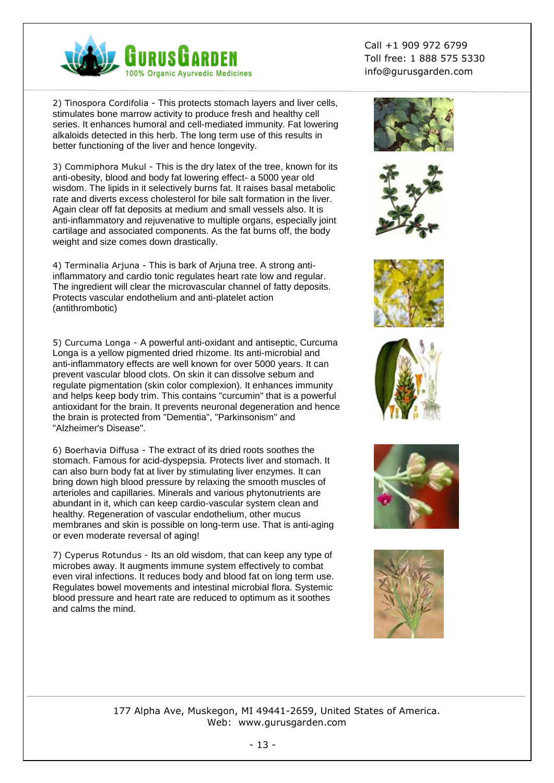

2) Tinospora Cordifolia - This protects stomach layers and liver cells, stimulates bone marrow activity to produce fresh and healthy cell series. It enhances humoral and cell-mediated immunity. Fat lowering alkaloids detected in this herb. The long term use of this results in better functioning of the liver and hence longevity.

3) Commiphora Mukul - This is the dry latex of the tree, known for its anti-obesity, blood and body fat lowering effect- a 5000 year old wisdom. The lipids in it selectively burns fat. It raises basal metabolic rate and diverts excess cholesterol for bile salt formation in the liver. Again clear off fat deposits at medium and small vessels also. It is anti-inflammatory and rejuvenative to multiple organs, especially joint cartilage and associated components. As the fat burns off, the body weight and size comes down drastically.

4) Terminalia Arjuna - This is bark of Arjuna tree. A strong antiinflammatory and cardio tonic regulates heart rate low and regular. The ingredient will clear the microvascular channel of fatty deposits. Protects vascular endothelium and anti-platelet action (antithrombotic)

5) Curcuma Longa - A powerful anti-oxidant and antiseptic, Curcuma Longa is a yellow pigmented dried rhizome. Its anti-microbial and anti-inflammatory effects are well known for over 5000 years. It can prevent vascular blood clots. On skin it can dissolve sebum and regulate pigmentation (skin color complexion). It enhances immunity and helps keep body trim. This contains "curcumin" that is a powerful antioxidant for the brain. It prevents neuronal degeneration and hence the brain is protected from "Dementia", "Parkinsonism" and "Alzheimer's Disease".

6) Boerhavia Diffusa - The extract of its dried roots soothes the stomach. Famous for acid-dyspepsia. Protects liver and stomach. It can also burn body fat at liver by stimulating liver enzymes. It can bring down high blood pressure by relaxing the smooth muscles of arterioles and capillaries. Minerals and various phytonutrients are abundant in it, which can keep cardio-vascular system clean and healthy. Regeneration of vascular endothelium, other mucus membranes and skin is possible on long-term use. That is anti-aging or even moderate reversal of aging!

7) Cyperus Rotundus - Its an old wisdom, that can keep any type of microbes away. It augments immune system effectively to combat even viral infections. It reduces body and blood fat on long term use. Regulates bowel movements and intestinal microbial flora. Systemic blood pressure and heart rate are reduced to optimum as it soothes and calms the mind.

Call +1 909 972 6799 Toll free: 1 888 575 5330 info@gurusgarden.com











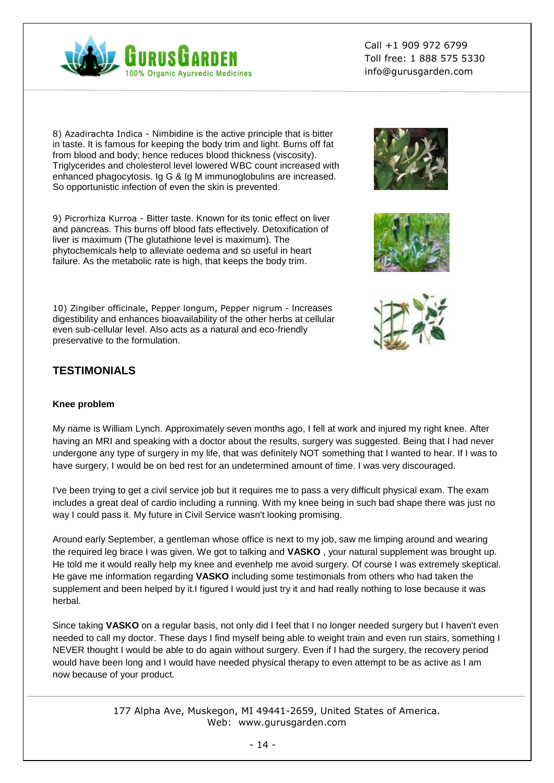

8) Azadirachta Indica - Nimbidine is the active principle that is bitter in taste. It is famous for keeping the body trim and light. Burns off fat from blood and body; hence reduces blood thickness (viscosity). Triglycerides and cholesterol level lowered WBC count increased with enhanced phagocytosis. Ig G & Ig M immunoglobulins are increased. So opportunistic infection of even the skin is prevented.

9) Picrorhiza Kurroa - Bitter taste. Known for its tonic effect on liver and pancreas. This burns off blood fats effectively. Detoxification of liver is maximum (The glutathione level is maximum). The phytochemicals help to alleviate oedema and so useful in heart failure. As the metabolic rate is high, that keeps the body trim.

10) Zingiber officinale, Pepper longum, Pepper nigrum - Increases digestibility and enhances bioavailability of the other herbs at cellular even sub-cellular level. Also acts as a natural and eco-friendly preservative to the formulation.







# **TESTIMONIALS**

#### **Knee problem**

My name is William Lynch. Approximately seven months ago, I fell at work and injured my right knee. After having an MRI and speaking with a doctor about the results, surgery was suggested. Being that I had never undergone any type of surgery in my life, that was definitely NOT something that I wanted to hear. If I was to have surgery, I would be on bed rest for an undetermined amount of time. I was very discouraged.

I've been trying to get a civil service job but it requires me to pass a very difficult physical exam. The exam includes a great deal of cardio including a running. With my knee being in such bad shape there was just no way I could pass it. My future in Civil Service wasn't looking promising.

Around early September, a gentleman whose office is next to my job, saw me limping around and wearing the required leg brace I was given. We got to talking and **VASKO** , your natural supplement was brought up. He told me it would really help my knee and evenhelp me avoid surgery. Of course I was extremely skeptical. He gave me information regarding **VASKO** including some testimonials from others who had taken the supplement and been helped by it.I figured I would just try it and had really nothing to lose because it was herbal.

Since taking **VASKO** on a regular basis, not only did I feel that I no longer needed surgery but I haven't even needed to call my doctor. These days I find myself being able to weight train and even run stairs, something I NEVER thought I would be able to do again without surgery. Even if I had the surgery, the recovery period would have been long and I would have needed physical therapy to even attempt to be as active as I am now because of your product.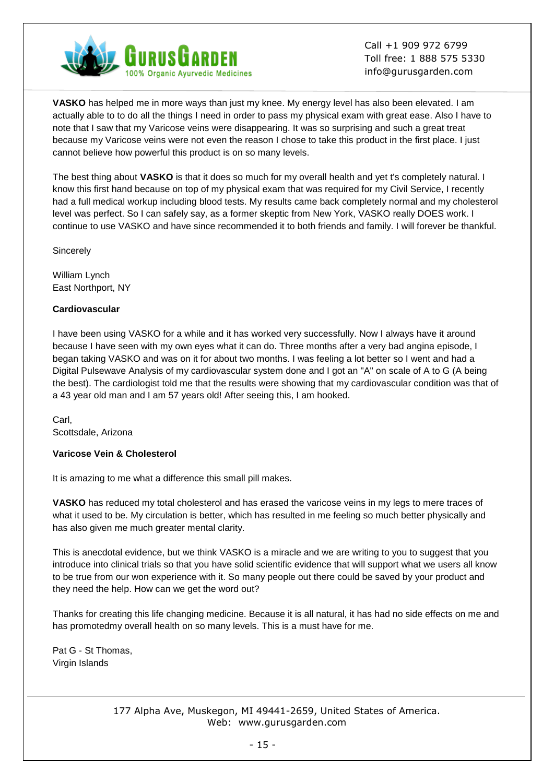

**VASKO** has helped me in more ways than just my knee. My energy level has also been elevated. I am actually able to to do all the things I need in order to pass my physical exam with great ease. Also I have to note that I saw that my Varicose veins were disappearing. It was so surprising and such a great treat because my Varicose veins were not even the reason I chose to take this product in the first place. I just cannot believe how powerful this product is on so many levels.

The best thing about **VASKO** is that it does so much for my overall health and yet t's completely natural. I know this first hand because on top of my physical exam that was required for my Civil Service, I recently had a full medical workup including blood tests. My results came back completely normal and my cholesterol level was perfect. So I can safely say, as a former skeptic from New York, VASKO really DOES work. I continue to use VASKO and have since recommended it to both friends and family. I will forever be thankful.

**Sincerely** 

William Lynch East Northport, NY

#### **Cardiovascular**

I have been using VASKO for a while and it has worked very successfully. Now I always have it around because I have seen with my own eyes what it can do. Three months after a very bad angina episode, I began taking VASKO and was on it for about two months. I was feeling a lot better so I went and had a Digital Pulsewave Analysis of my cardiovascular system done and I got an "A" on scale of A to G (A being the best). The cardiologist told me that the results were showing that my cardiovascular condition was that of a 43 year old man and I am 57 years old! After seeing this, I am hooked.

Carl, Scottsdale, Arizona

#### **Varicose Vein & Cholesterol**

It is amazing to me what a difference this small pill makes.

**VASKO** has reduced my total cholesterol and has erased the varicose veins in my legs to mere traces of what it used to be. My circulation is better, which has resulted in me feeling so much better physically and has also given me much greater mental clarity.

This is anecdotal evidence, but we think VASKO is a miracle and we are writing to you to suggest that you introduce into clinical trials so that you have solid scientific evidence that will support what we users all know to be true from our won experience with it. So many people out there could be saved by your product and they need the help. How can we get the word out?

Thanks for creating this life changing medicine. Because it is all natural, it has had no side effects on me and has promotedmy overall health on so many levels. This is a must have for me.

Pat G - St Thomas, Virgin Islands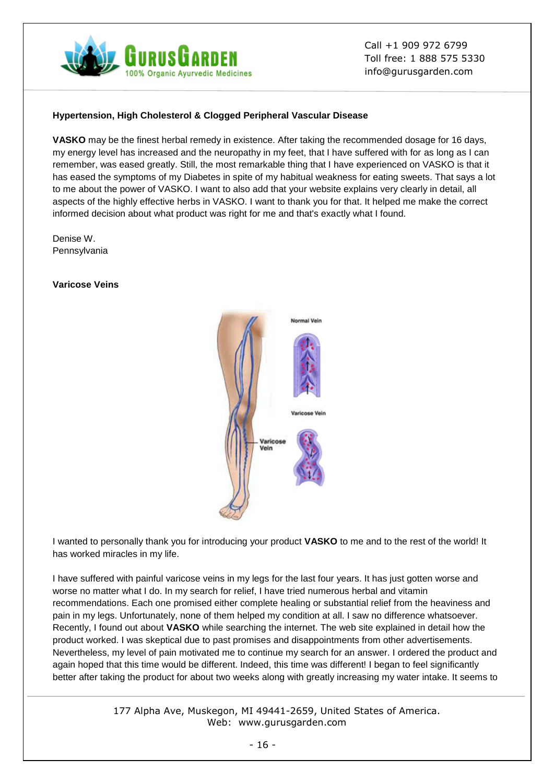

## **Hypertension, High Cholesterol & Clogged Peripheral Vascular Disease**

**VASKO** may be the finest herbal remedy in existence. After taking the recommended dosage for 16 days, my energy level has increased and the neuropathy in my feet, that I have suffered with for as long as I can remember, was eased greatly. Still, the most remarkable thing that I have experienced on VASKO is that it has eased the symptoms of my Diabetes in spite of my habitual weakness for eating sweets. That says a lot to me about the power of VASKO. I want to also add that your website explains very clearly in detail, all aspects of the highly effective herbs in VASKO. I want to thank you for that. It helped me make the correct informed decision about what product was right for me and that's exactly what I found.

Denise W. Pennsylvania

#### **Varicose Veins**



I wanted to personally thank you for introducing your product **VASKO** to me and to the rest of the world! It has worked miracles in my life.

I have suffered with painful varicose veins in my legs for the last four years. It has just gotten worse and worse no matter what I do. In my search for relief, I have tried numerous herbal and vitamin recommendations. Each one promised either complete healing or substantial relief from the heaviness and pain in my legs. Unfortunately, none of them helped my condition at all. I saw no difference whatsoever. Recently, I found out about **VASKO** while searching the internet. The web site explained in detail how the product worked. I was skeptical due to past promises and disappointments from other advertisements. Nevertheless, my level of pain motivated me to continue my search for an answer. I ordered the product and again hoped that this time would be different. Indeed, this time was different! I began to feel significantly better after taking the product for about two weeks along with greatly increasing my water intake. It seems to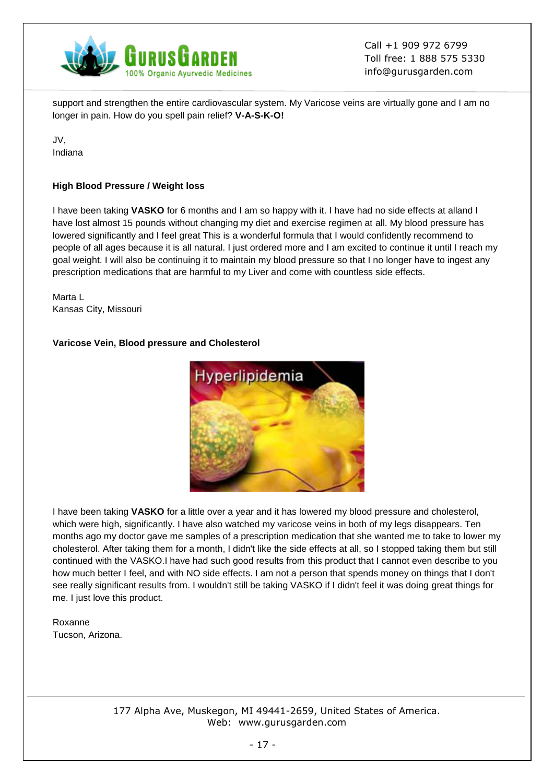

support and strengthen the entire cardiovascular system. My Varicose veins are virtually gone and I am no longer in pain. How do you spell pain relief? **V-A-S-K-O!**

JV, Indiana

#### **High Blood Pressure / Weight loss**

I have been taking **VASKO** for 6 months and I am so happy with it. I have had no side effects at alland I have lost almost 15 pounds without changing my diet and exercise regimen at all. My blood pressure has lowered significantly and I feel great This is a wonderful formula that I would confidently recommend to people of all ages because it is all natural. I just ordered more and I am excited to continue it until I reach my goal weight. I will also be continuing it to maintain my blood pressure so that I no longer have to ingest any prescription medications that are harmful to my Liver and come with countless side effects.

Marta L Kansas City, Missouri

#### **Varicose Vein, Blood pressure and Cholesterol**



I have been taking **VASKO** for a little over a year and it has lowered my blood pressure and cholesterol, which were high, significantly. I have also watched my varicose veins in both of my legs disappears. Ten months ago my doctor gave me samples of a prescription medication that she wanted me to take to lower my cholesterol. After taking them for a month, I didn't like the side effects at all, so I stopped taking them but still continued with the VASKO.I have had such good results from this product that I cannot even describe to you how much better I feel, and with NO side effects. I am not a person that spends money on things that I don't see really significant results from. I wouldn't still be taking VASKO if I didn't feel it was doing great things for me. I just love this product.

Roxanne Tucson, Arizona.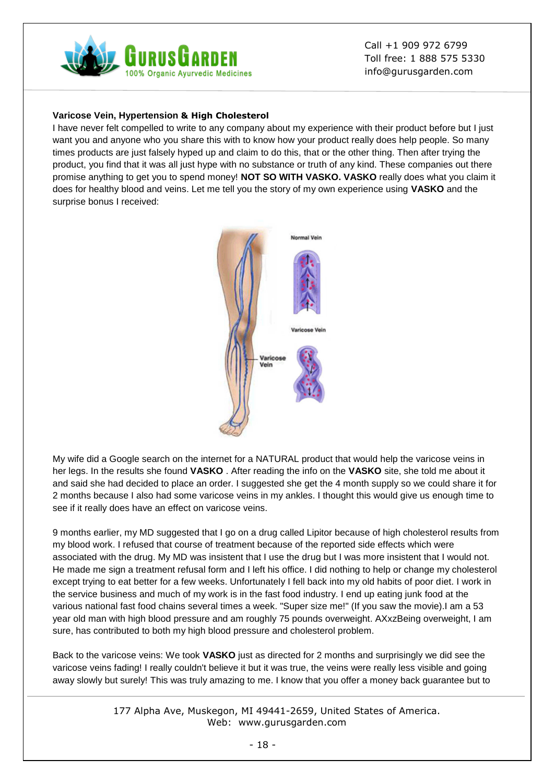

#### **Varicose Vein, Hypertension & High Cholesterol**

I have never felt compelled to write to any company about my experience with their product before but I just want you and anyone who you share this with to know how your product really does help people. So many times products are just falsely hyped up and claim to do this, that or the other thing. Then after trying the product, you find that it was all just hype with no substance or truth of any kind. These companies out there promise anything to get you to spend money! **NOT SO WITH VASKO. VASKO** really does what you claim it does for healthy blood and veins. Let me tell you the story of my own experience using **VASKO** and the surprise bonus I received:



My wife did a Google search on the internet for a NATURAL product that would help the varicose veins in her legs. In the results she found **VASKO** . After reading the info on the **VASKO** site, she told me about it and said she had decided to place an order. I suggested she get the 4 month supply so we could share it for 2 months because I also had some varicose veins in my ankles. I thought this would give us enough time to see if it really does have an effect on varicose veins.

9 months earlier, my MD suggested that I go on a drug called Lipitor because of high cholesterol results from my blood work. I refused that course of treatment because of the reported side effects which were associated with the drug. My MD was insistent that I use the drug but I was more insistent that I would not. He made me sign a treatment refusal form and I left his office. I did nothing to help or change my cholesterol except trying to eat better for a few weeks. Unfortunately I fell back into my old habits of poor diet. I work in the service business and much of my work is in the fast food industry. I end up eating junk food at the various national fast food chains several times a week. "Super size me!" (If you saw the movie).I am a 53 year old man with high blood pressure and am roughly 75 pounds overweight. AXxzBeing overweight, I am sure, has contributed to both my high blood pressure and cholesterol problem.

Back to the varicose veins: We took **VASKO** just as directed for 2 months and surprisingly we did see the varicose veins fading! I really couldn't believe it but it was true, the veins were really less visible and going away slowly but surely! This was truly amazing to me. I know that you offer a money back guarantee but to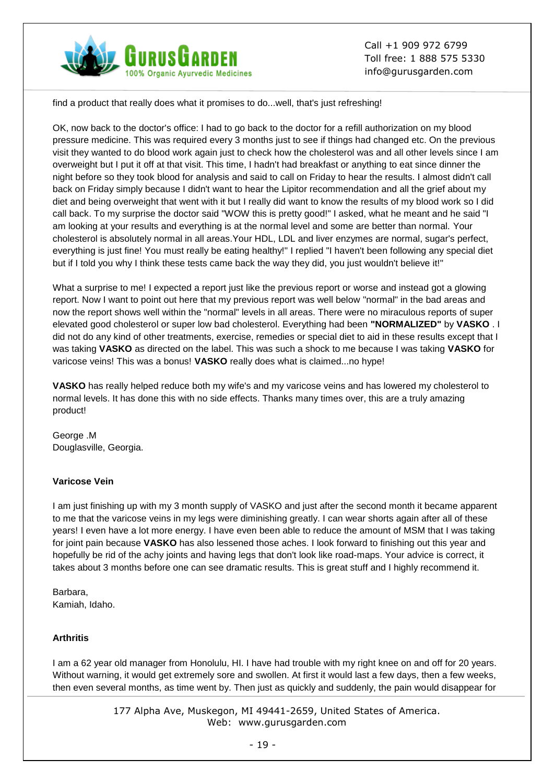

find a product that really does what it promises to do...well, that's just refreshing!

OK, now back to the doctor's office: I had to go back to the doctor for a refill authorization on my blood pressure medicine. This was required every 3 months just to see if things had changed etc. On the previous visit they wanted to do blood work again just to check how the cholesterol was and all other levels since I am overweight but I put it off at that visit. This time, I hadn't had breakfast or anything to eat since dinner the night before so they took blood for analysis and said to call on Friday to hear the results. I almost didn't call back on Friday simply because I didn't want to hear the Lipitor recommendation and all the grief about my diet and being overweight that went with it but I really did want to know the results of my blood work so I did call back. To my surprise the doctor said "WOW this is pretty good!" I asked, what he meant and he said "I am looking at your results and everything is at the normal level and some are better than normal. Your cholesterol is absolutely normal in all areas.Your HDL, LDL and liver enzymes are normal, sugar's perfect, everything is just fine! You must really be eating healthy!" I replied "I haven't been following any special diet but if I told you why I think these tests came back the way they did, you just wouldn't believe it!"

What a surprise to me! I expected a report just like the previous report or worse and instead got a glowing report. Now I want to point out here that my previous report was well below "normal" in the bad areas and now the report shows well within the "normal" levels in all areas. There were no miraculous reports of super elevated good cholesterol or super low bad cholesterol. Everything had been **"NORMALIZED"** by **VASKO** . I did not do any kind of other treatments, exercise, remedies or special diet to aid in these results except that I was taking **VASKO** as directed on the label. This was such a shock to me because I was taking **VASKO** for varicose veins! This was a bonus! **VASKO** really does what is claimed...no hype!

**VASKO** has really helped reduce both my wife's and my varicose veins and has lowered my cholesterol to normal levels. It has done this with no side effects. Thanks many times over, this are a truly amazing product!

George .M Douglasville, Georgia.

#### **Varicose Vein**

I am just finishing up with my 3 month supply of VASKO and just after the second month it became apparent to me that the varicose veins in my legs were diminishing greatly. I can wear shorts again after all of these years! I even have a lot more energy. I have even been able to reduce the amount of MSM that I was taking for joint pain because **VASKO** has also lessened those aches. I look forward to finishing out this year and hopefully be rid of the achy joints and having legs that don't look like road-maps. Your advice is correct, it takes about 3 months before one can see dramatic results. This is great stuff and I highly recommend it.

Barbara, Kamiah, Idaho.

## **Arthritis**

I am a 62 year old manager from Honolulu, HI. I have had trouble with my right knee on and off for 20 years. Without warning, it would get extremely sore and swollen. At first it would last a few days, then a few weeks, then even several months, as time went by. Then just as quickly and suddenly, the pain would disappear for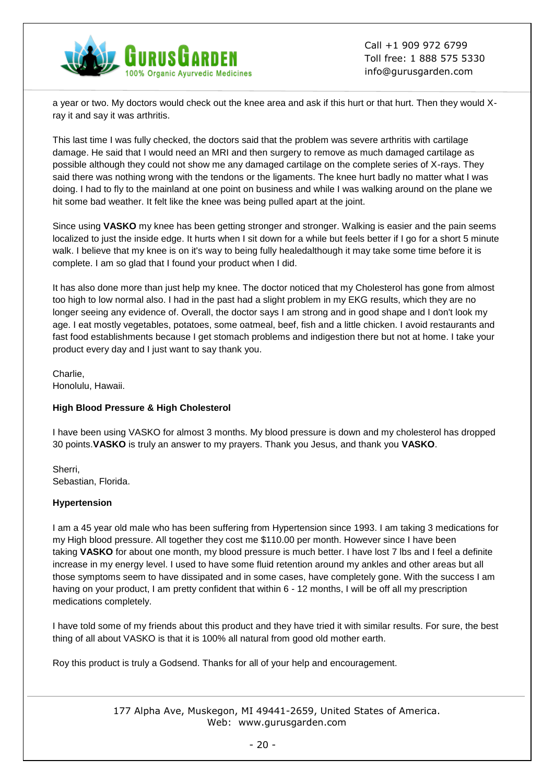

a year or two. My doctors would check out the knee area and ask if this hurt or that hurt. Then they would Xray it and say it was arthritis.

This last time I was fully checked, the doctors said that the problem was severe arthritis with cartilage damage. He said that I would need an MRI and then surgery to remove as much damaged cartilage as possible although they could not show me any damaged cartilage on the complete series of X-rays. They said there was nothing wrong with the tendons or the ligaments. The knee hurt badly no matter what I was doing. I had to fly to the mainland at one point on business and while I was walking around on the plane we hit some bad weather. It felt like the knee was being pulled apart at the joint.

Since using **VASKO** my knee has been getting stronger and stronger. Walking is easier and the pain seems localized to just the inside edge. It hurts when I sit down for a while but feels better if I go for a short 5 minute walk. I believe that my knee is on it's way to being fully healedalthough it may take some time before it is complete. I am so glad that I found your product when I did.

It has also done more than just help my knee. The doctor noticed that my Cholesterol has gone from almost too high to low normal also. I had in the past had a slight problem in my EKG results, which they are no longer seeing any evidence of. Overall, the doctor says I am strong and in good shape and I don't look my age. I eat mostly vegetables, potatoes, some oatmeal, beef, fish and a little chicken. I avoid restaurants and fast food establishments because I get stomach problems and indigestion there but not at home. I take your product every day and I just want to say thank you.

Charlie, Honolulu, Hawaii.

#### **High Blood Pressure & High Cholesterol**

I have been using VASKO for almost 3 months. My blood pressure is down and my cholesterol has dropped 30 points.**VASKO** is truly an answer to my prayers. Thank you Jesus, and thank you **VASKO**.

Sherri, Sebastian, Florida.

#### **Hypertension**

I am a 45 year old male who has been suffering from Hypertension since 1993. I am taking 3 medications for my High blood pressure. All together they cost me \$110.00 per month. However since I have been taking **VASKO** for about one month, my blood pressure is much better. I have lost 7 lbs and I feel a definite increase in my energy level. I used to have some fluid retention around my ankles and other areas but all those symptoms seem to have dissipated and in some cases, have completely gone. With the success I am having on your product, I am pretty confident that within 6 - 12 months, I will be off all my prescription medications completely.

I have told some of my friends about this product and they have tried it with similar results. For sure, the best thing of all about VASKO is that it is 100% all natural from good old mother earth.

Roy this product is truly a Godsend. Thanks for all of your help and encouragement.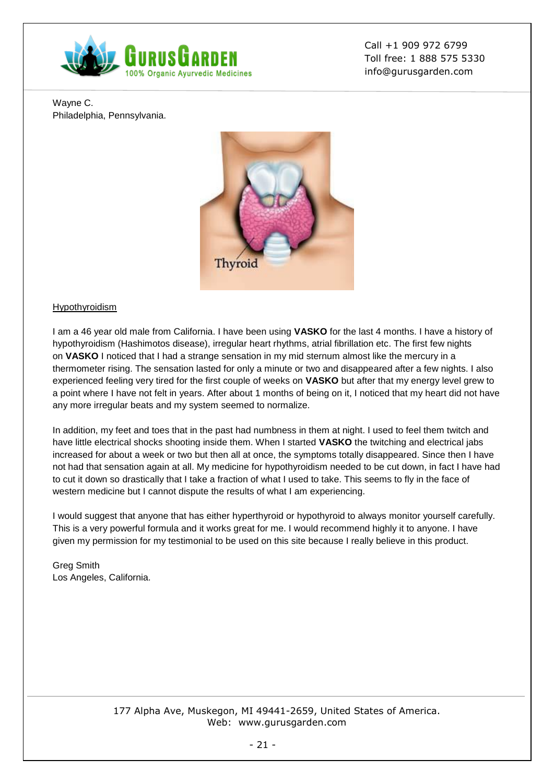

Wayne C. Philadelphia, Pennsylvania.



## [Hypothyroidism](https://gurusgarden.com/article.aspx?id=hyperthyroidism)

I am a 46 year old male from California. I have been using **VASKO** for the last 4 months. I have a history of hypothyroidism (Hashimotos disease), irregular heart rhythms, atrial fibrillation etc. The first few nights on **VASKO** I noticed that I had a strange sensation in my mid sternum almost like the mercury in a thermometer rising. The sensation lasted for only a minute or two and disappeared after a few nights. I also experienced feeling very tired for the first couple of weeks on **VASKO** but after that my energy level grew to a point where I have not felt in years. After about 1 months of being on it, I noticed that my heart did not have any more irregular beats and my system seemed to normalize.

In addition, my feet and toes that in the past had numbness in them at night. I used to feel them twitch and have little electrical shocks shooting inside them. When I started **VASKO** the twitching and electrical jabs increased for about a week or two but then all at once, the symptoms totally disappeared. Since then I have not had that sensation again at all. My medicine for hypothyroidism needed to be cut down, in fact I have had to cut it down so drastically that I take a fraction of what I used to take. This seems to fly in the face of western medicine but I cannot dispute the results of what I am experiencing.

I would suggest that anyone that has either hyperthyroid or hypothyroid to always monitor yourself carefully. This is a very powerful formula and it works great for me. I would recommend highly it to anyone. I have given my permission for my testimonial to be used on this site because I really believe in this product.

Greg Smith Los Angeles, California.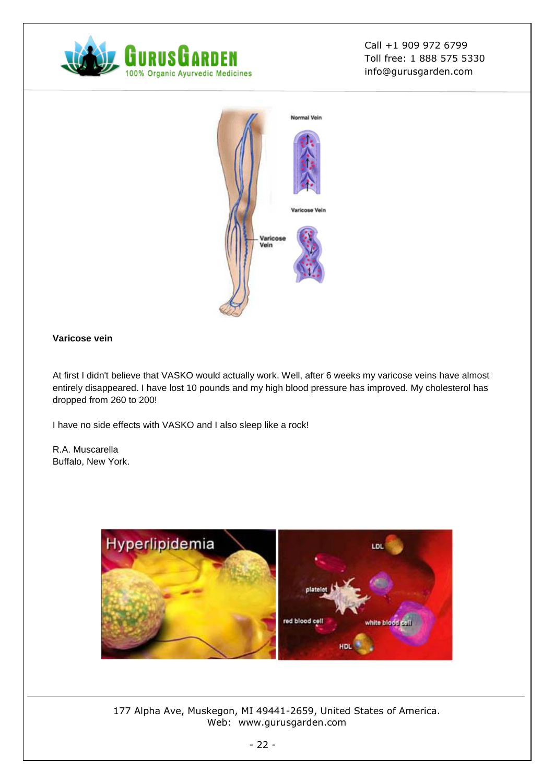



# **Varicose vein**

At first I didn't believe that VASKO would actually work. Well, after 6 weeks my varicose veins have almost entirely disappeared. I have lost 10 pounds and my high blood pressure has improved. My cholesterol has dropped from 260 to 200!

I have no side effects with VASKO and I also sleep like a rock!

R.A. Muscarella Buffalo, New York.

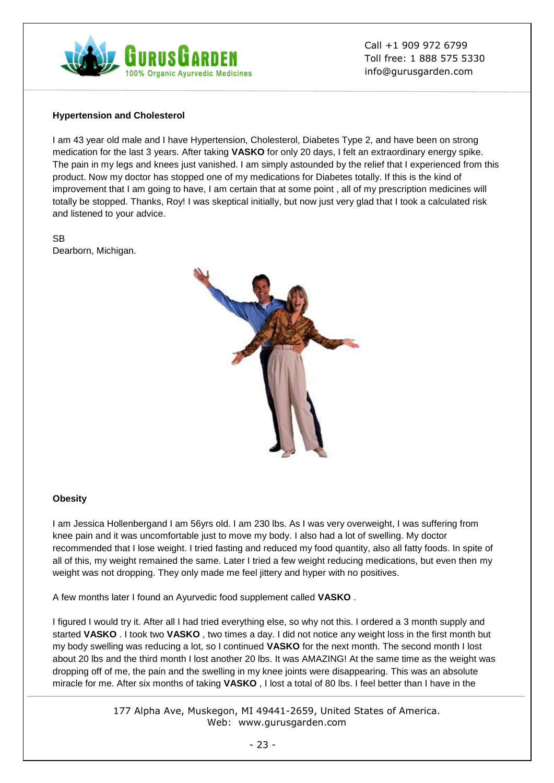

#### **Hypertension and Cholesterol**

I am 43 year old male and I have Hypertension, Cholesterol, Diabetes Type 2, and have been on strong medication for the last 3 years. After taking **VASKO** for only 20 days, I felt an extraordinary energy spike. The pain in my legs and knees just vanished. I am simply astounded by the relief that I experienced from this product. Now my doctor has stopped one of my medications for Diabetes totally. If this is the kind of improvement that I am going to have, I am certain that at some point , all of my prescription medicines will totally be stopped. Thanks, Roy! I was skeptical initially, but now just very glad that I took a calculated risk and listened to your advice.

SB Dearborn, Michigan.



#### **Obesity**

I am Jessica Hollenbergand I am 56yrs old. I am 230 lbs. As I was very overweight, I was suffering from knee pain and it was uncomfortable just to move my body. I also had a lot of swelling. My doctor recommended that I lose weight. I tried fasting and reduced my food quantity, also all fatty foods. In spite of all of this, my weight remained the same. Later I tried a few weight reducing medications, but even then my weight was not dropping. They only made me feel jittery and hyper with no positives.

A few months later I found an Ayurvedic food supplement called **VASKO** .

I figured I would try it. After all I had tried everything else, so why not this. I ordered a 3 month supply and started **VASKO** . I took two **VASKO** , two times a day. I did not notice any weight loss in the first month but my body swelling was reducing a lot, so I continued **VASKO** for the next month. The second month I lost about 20 lbs and the third month I lost another 20 lbs. It was AMAZING! At the same time as the weight was dropping off of me, the pain and the swelling in my knee joints were disappearing. This was an absolute miracle for me. After six months of taking **VASKO** , I lost a total of 80 lbs. I feel better than I have in the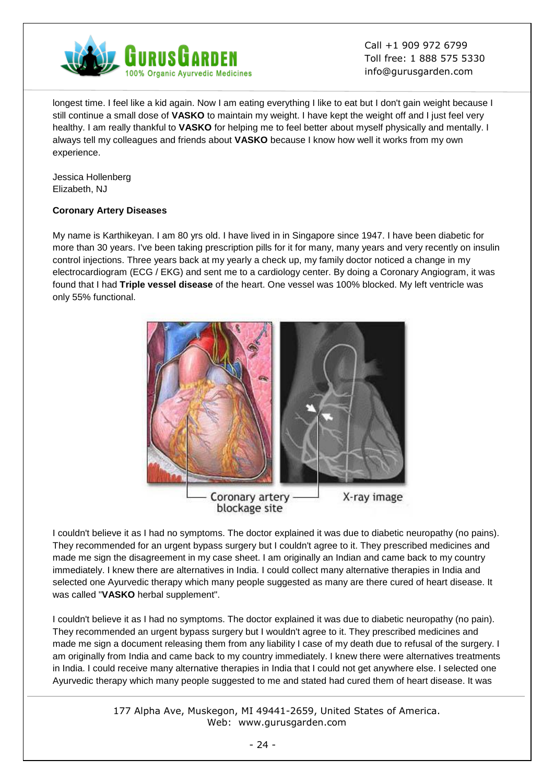

longest time. I feel like a kid again. Now I am eating everything I like to eat but I don't gain weight because I still continue a small dose of **VASKO** to maintain my weight. I have kept the weight off and I just feel very healthy. I am really thankful to **VASKO** for helping me to feel better about myself physically and mentally. I always tell my colleagues and friends about **VASKO** because I know how well it works from my own experience.

Jessica Hollenberg Elizabeth, NJ

# **Coronary Artery Diseases**

My name is Karthikeyan. I am 80 yrs old. I have lived in in Singapore since 1947. I have been diabetic for more than 30 years. I've been taking prescription pills for it for many, many years and very recently on insulin control injections. Three years back at my yearly a check up, my family doctor noticed a change in my electrocardiogram (ECG / EKG) and sent me to a cardiology center. By doing a Coronary Angiogram, it was found that I had **Triple vessel disease** of the heart. One vessel was 100% blocked. My left ventricle was only 55% functional.



I couldn't believe it as I had no symptoms. The doctor explained it was due to diabetic neuropathy (no pains). They recommended for an urgent bypass surgery but I couldn't agree to it. They prescribed medicines and made me sign the disagreement in my case sheet. I am originally an Indian and came back to my country immediately. I knew there are alternatives in India. I could collect many alternative therapies in India and selected one Ayurvedic therapy which many people suggested as many are there cured of heart disease. It was called "**VASKO** herbal supplement".

I couldn't believe it as I had no symptoms. The doctor explained it was due to diabetic neuropathy (no pain). They recommended an urgent bypass surgery but I wouldn't agree to it. They prescribed medicines and made me sign a document releasing them from any liability I case of my death due to refusal of the surgery. I am originally from India and came back to my country immediately. I knew there were alternatives treatments in India. I could receive many alternative therapies in India that I could not get anywhere else. I selected one Ayurvedic therapy which many people suggested to me and stated had cured them of heart disease. It was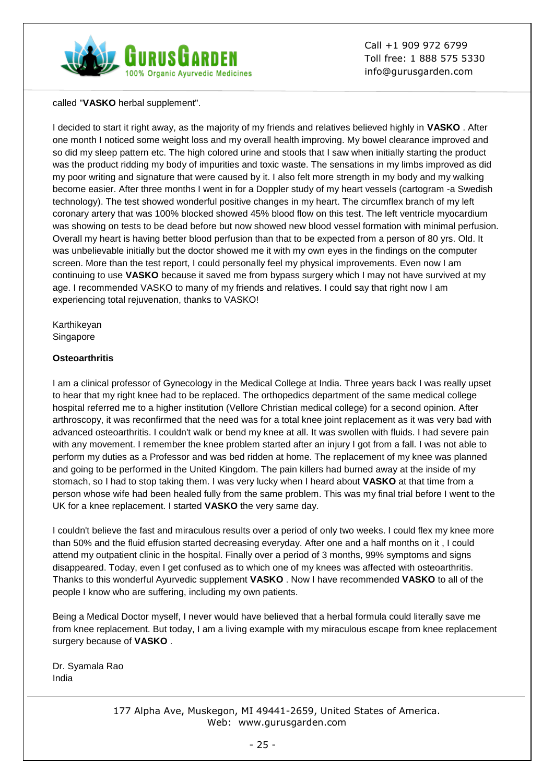

called "**VASKO** herbal supplement".

I decided to start it right away, as the majority of my friends and relatives believed highly in **VASKO** . After one month I noticed some weight loss and my overall health improving. My bowel clearance improved and so did my sleep pattern etc. The high colored urine and stools that I saw when initially starting the product was the product ridding my body of impurities and toxic waste. The sensations in my limbs improved as did my poor writing and signature that were caused by it. I also felt more strength in my body and my walking become easier. After three months I went in for a Doppler study of my heart vessels (cartogram -a Swedish technology). The test showed wonderful positive changes in my heart. The circumflex branch of my left coronary artery that was 100% blocked showed 45% blood flow on this test. The left ventricle myocardium was showing on tests to be dead before but now showed new blood vessel formation with minimal perfusion. Overall my heart is having better blood perfusion than that to be expected from a person of 80 yrs. Old. It was unbelievable initially but the doctor showed me it with my own eyes in the findings on the computer screen. More than the test report, I could personally feel my physical improvements. Even now I am continuing to use **VASKO** because it saved me from bypass surgery which I may not have survived at my age. I recommended VASKO to many of my friends and relatives. I could say that right now I am experiencing total rejuvenation, thanks to VASKO!

Karthikeyan Singapore

## **Osteoarthritis**

I am a clinical professor of Gynecology in the Medical College at India. Three years back I was really upset to hear that my right knee had to be replaced. The orthopedics department of the same medical college hospital referred me to a higher institution (Vellore Christian medical college) for a second opinion. After arthroscopy, it was reconfirmed that the need was for a total knee joint replacement as it was very bad with advanced osteoarthritis. I couldn't walk or bend my knee at all. It was swollen with fluids. I had severe pain with any movement. I remember the knee problem started after an injury I got from a fall. I was not able to perform my duties as a Professor and was bed ridden at home. The replacement of my knee was planned and going to be performed in the United Kingdom. The pain killers had burned away at the inside of my stomach, so I had to stop taking them. I was very lucky when I heard about **VASKO** at that time from a person whose wife had been healed fully from the same problem. This was my final trial before I went to the UK for a knee replacement. I started **VASKO** the very same day.

I couldn't believe the fast and miraculous results over a period of only two weeks. I could flex my knee more than 50% and the fluid effusion started decreasing everyday. After one and a half months on it , I could attend my outpatient clinic in the hospital. Finally over a period of 3 months, 99% symptoms and signs disappeared. Today, even I get confused as to which one of my knees was affected with osteoarthritis. Thanks to this wonderful Ayurvedic supplement **VASKO** . Now I have recommended **VASKO** to all of the people I know who are suffering, including my own patients.

Being a Medical Doctor myself, I never would have believed that a herbal formula could literally save me from knee replacement. But today, I am a living example with my miraculous escape from knee replacement surgery because of **VASKO** .

Dr. Syamala Rao India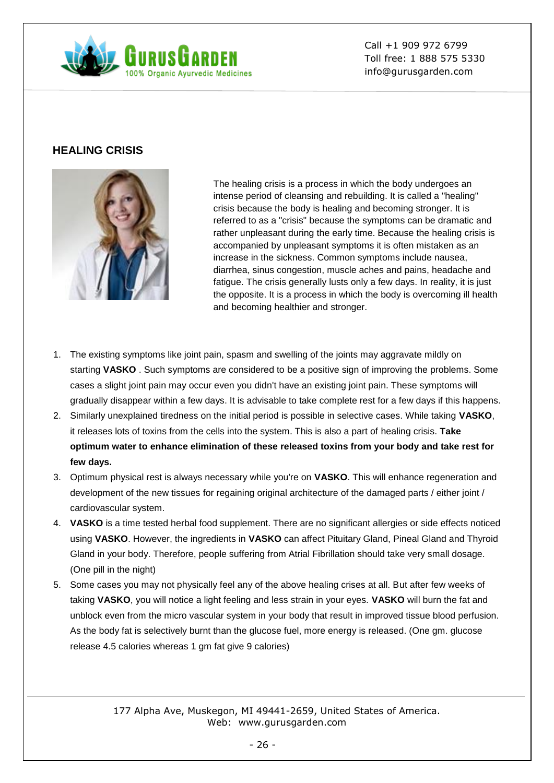

# **HEALING CRISIS**



The healing crisis is a process in which the body undergoes an intense period of cleansing and rebuilding. It is called a "healing" crisis because the body is healing and becoming stronger. It is referred to as a "crisis" because the symptoms can be dramatic and rather unpleasant during the early time. Because the healing crisis is accompanied by unpleasant symptoms it is often mistaken as an increase in the sickness. Common symptoms include nausea, diarrhea, sinus congestion, muscle aches and pains, headache and fatigue. The crisis generally lusts only a few days. In reality, it is just the opposite. It is a process in which the body is overcoming ill health and becoming healthier and stronger.

- 1. The existing symptoms like joint pain, spasm and swelling of the joints may aggravate mildly on starting **VASKO** . Such symptoms are considered to be a positive sign of improving the problems. Some cases a slight joint pain may occur even you didn't have an existing joint pain. These symptoms will gradually disappear within a few days. It is advisable to take complete rest for a few days if this happens.
- 2. Similarly unexplained tiredness on the initial period is possible in selective cases. While taking **VASKO**, it releases lots of toxins from the cells into the system. This is also a part of healing crisis. **Take optimum water to enhance elimination of these released toxins from your body and take rest for few days.**
- 3. Optimum physical rest is always necessary while you're on **VASKO**. This will enhance regeneration and development of the new tissues for regaining original architecture of the damaged parts / either joint / cardiovascular system.
- 4. **VASKO** is a time tested herbal food supplement. There are no significant allergies or side effects noticed using **VASKO**. However, the ingredients in **VASKO** can affect Pituitary Gland, Pineal Gland and Thyroid Gland in your body. Therefore, people suffering from Atrial Fibrillation should take very small dosage. (One pill in the night)
- 5. Some cases you may not physically feel any of the above healing crises at all. But after few weeks of taking **VASKO**, you will notice a light feeling and less strain in your eyes. **VASKO** will burn the fat and unblock even from the micro vascular system in your body that result in improved tissue blood perfusion. As the body fat is selectively burnt than the glucose fuel, more energy is released. (One gm. glucose release 4.5 calories whereas 1 gm fat give 9 calories)